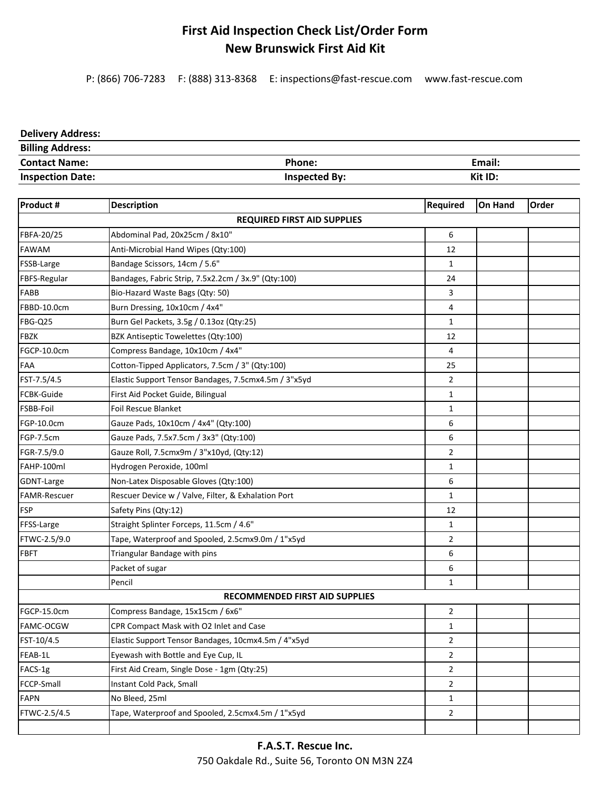## **First Aid Inspection Check List/Order Form New Brunswick First Aid Kit**

P: (866) 706‐7283 F: (888) 313‐8368 E: inspections@fast‐rescue.com www.fast‐rescue.com

## **Delivery Address:**

| <b>Billing Address:</b> |                      |         |
|-------------------------|----------------------|---------|
| <b>Contact Name:</b>    | <b>Phone:</b>        | Email:  |
| <b>Inspection Date:</b> | <b>Inspected By:</b> | Kit ID: |

| Product #                          | <b>Description</b>                                   | Required       | <b>On Hand</b> | Order |  |  |
|------------------------------------|------------------------------------------------------|----------------|----------------|-------|--|--|
| <b>REQUIRED FIRST AID SUPPLIES</b> |                                                      |                |                |       |  |  |
| FBFA-20/25                         | Abdominal Pad, 20x25cm / 8x10"                       | 6              |                |       |  |  |
| <b>FAWAM</b>                       | Anti-Microbial Hand Wipes (Qty:100)                  | 12             |                |       |  |  |
| FSSB-Large                         | Bandage Scissors, 14cm / 5.6"                        | 1              |                |       |  |  |
| FBFS-Regular                       | Bandages, Fabric Strip, 7.5x2.2cm / 3x.9" (Qty:100)  | 24             |                |       |  |  |
| FABB                               | Bio-Hazard Waste Bags (Qty: 50)                      | 3              |                |       |  |  |
| FBBD-10.0cm                        | Burn Dressing, 10x10cm / 4x4"                        | $\overline{4}$ |                |       |  |  |
| <b>FBG-Q25</b>                     | Burn Gel Packets, 3.5g / 0.13oz (Qty:25)             | $\mathbf{1}$   |                |       |  |  |
| <b>FBZK</b>                        | BZK Antiseptic Towelettes (Qty:100)                  | 12             |                |       |  |  |
| FGCP-10.0cm                        | Compress Bandage, 10x10cm / 4x4"                     | 4              |                |       |  |  |
| FAA                                | Cotton-Tipped Applicators, 7.5cm / 3" (Qty:100)      | 25             |                |       |  |  |
| FST-7.5/4.5                        | Elastic Support Tensor Bandages, 7.5cmx4.5m / 3"x5yd | $\overline{2}$ |                |       |  |  |
| <b>FCBK-Guide</b>                  | First Aid Pocket Guide, Bilingual                    | $\mathbf{1}$   |                |       |  |  |
| FSBB-Foil                          | <b>Foil Rescue Blanket</b>                           | $\mathbf{1}$   |                |       |  |  |
| FGP-10.0cm                         | Gauze Pads, 10x10cm / 4x4" (Qty:100)                 | 6              |                |       |  |  |
| FGP-7.5cm                          | Gauze Pads, 7.5x7.5cm / 3x3" (Qty:100)               | 6              |                |       |  |  |
| FGR-7.5/9.0                        | Gauze Roll, 7.5cmx9m / 3"x10yd, (Qty:12)             | $\overline{2}$ |                |       |  |  |
| FAHP-100ml                         | Hydrogen Peroxide, 100ml                             | $\mathbf{1}$   |                |       |  |  |
| GDNT-Large                         | Non-Latex Disposable Gloves (Qty:100)                | 6              |                |       |  |  |
| <b>FAMR-Rescuer</b>                | Rescuer Device w / Valve, Filter, & Exhalation Port  | $\mathbf{1}$   |                |       |  |  |
| <b>FSP</b>                         | Safety Pins (Qty:12)                                 | 12             |                |       |  |  |
| FFSS-Large                         | Straight Splinter Forceps, 11.5cm / 4.6"             | 1              |                |       |  |  |
| FTWC-2.5/9.0                       | Tape, Waterproof and Spooled, 2.5cmx9.0m / 1"x5yd    | $\overline{2}$ |                |       |  |  |
| <b>FBFT</b>                        | Triangular Bandage with pins                         | 6              |                |       |  |  |
|                                    | Packet of sugar                                      | 6              |                |       |  |  |
|                                    | Pencil                                               | $\mathbf{1}$   |                |       |  |  |
|                                    | <b>RECOMMENDED FIRST AID SUPPLIES</b>                |                |                |       |  |  |
| FGCP-15.0cm                        | Compress Bandage, 15x15cm / 6x6"                     | $\overline{2}$ |                |       |  |  |
| FAMC-OCGW                          | CPR Compact Mask with O2 Inlet and Case              | $\mathbf{1}$   |                |       |  |  |
| FST-10/4.5                         | Elastic Support Tensor Bandages, 10cmx4.5m / 4"x5yd  | $\overline{2}$ |                |       |  |  |
| FEAB-1L                            | Eyewash with Bottle and Eye Cup, IL                  | $\overline{2}$ |                |       |  |  |
| FACS-1g                            | First Aid Cream, Single Dose - 1gm (Qty:25)          | $\overline{2}$ |                |       |  |  |
| FCCP-Small                         | Instant Cold Pack, Small                             | $\overline{2}$ |                |       |  |  |
| <b>FAPN</b>                        | No Bleed, 25ml                                       | 1              |                |       |  |  |
| FTWC-2.5/4.5                       | Tape, Waterproof and Spooled, 2.5cmx4.5m / 1"x5yd    | $\overline{2}$ |                |       |  |  |
|                                    |                                                      |                |                |       |  |  |

750 Oakdale Rd., Suite 56, Toronto ON M3N 2Z4